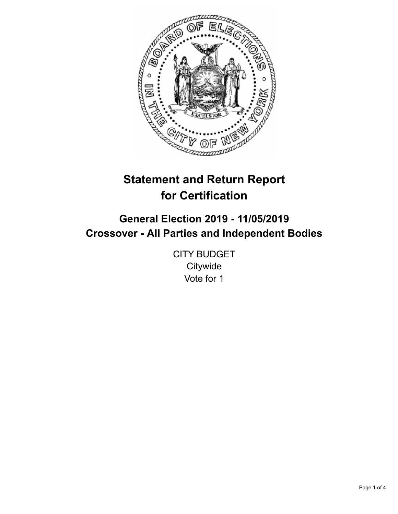

# **Statement and Return Report for Certification**

## **General Election 2019 - 11/05/2019 Crossover - All Parties and Independent Bodies**

CITY BUDGET **Citywide** Vote for 1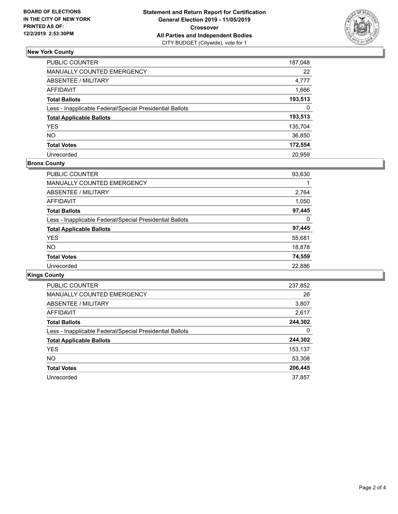

### **New York County**

| PUBLIC COUNTER                                           | 187,048 |
|----------------------------------------------------------|---------|
| <b>MANUALLY COUNTED EMERGENCY</b>                        | 22      |
| <b>ABSENTEE / MILITARY</b>                               | 4,777   |
| <b>AFFIDAVIT</b>                                         | 1,666   |
| <b>Total Ballots</b>                                     | 193,513 |
| Less - Inapplicable Federal/Special Presidential Ballots | 0       |
| <b>Total Applicable Ballots</b>                          | 193,513 |
| <b>YES</b>                                               | 135,704 |
| <b>NO</b>                                                | 36,850  |
| <b>Total Votes</b>                                       | 172,554 |
| Unrecorded                                               | 20.959  |

#### **Bronx County**

| <b>PUBLIC COUNTER</b>                                    | 93,630 |
|----------------------------------------------------------|--------|
| <b>MANUALLY COUNTED EMERGENCY</b>                        |        |
| ABSENTEE / MILITARY                                      | 2,764  |
| <b>AFFIDAVIT</b>                                         | 1,050  |
| <b>Total Ballots</b>                                     | 97,445 |
| Less - Inapplicable Federal/Special Presidential Ballots | 0      |
| <b>Total Applicable Ballots</b>                          | 97,445 |
| <b>YES</b>                                               | 55,681 |
| <b>NO</b>                                                | 18,878 |
| <b>Total Votes</b>                                       | 74,559 |
| Unrecorded                                               | 22,886 |

## **Kings County**

| <b>PUBLIC COUNTER</b>                                    | 237,852 |
|----------------------------------------------------------|---------|
| <b>MANUALLY COUNTED EMERGENCY</b>                        | 26      |
| ABSENTEE / MILITARY                                      | 3,807   |
| AFFIDAVIT                                                | 2,617   |
| <b>Total Ballots</b>                                     | 244,302 |
| Less - Inapplicable Federal/Special Presidential Ballots | 0       |
| <b>Total Applicable Ballots</b>                          | 244,302 |
| <b>YES</b>                                               | 153,137 |
| NO.                                                      | 53,308  |
| <b>Total Votes</b>                                       | 206,445 |
| Unrecorded                                               | 37.857  |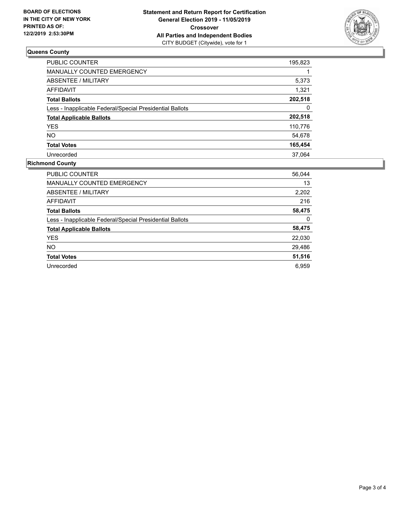

## **Queens County**

| <b>PUBLIC COUNTER</b>                                    | 195,823 |
|----------------------------------------------------------|---------|
| <b>MANUALLY COUNTED EMERGENCY</b>                        |         |
| ABSENTEE / MILITARY                                      | 5,373   |
| AFFIDAVIT                                                | 1,321   |
| <b>Total Ballots</b>                                     | 202,518 |
| Less - Inapplicable Federal/Special Presidential Ballots | 0       |
| <b>Total Applicable Ballots</b>                          | 202,518 |
| <b>YES</b>                                               | 110,776 |
| <b>NO</b>                                                | 54,678  |
| <b>Total Votes</b>                                       | 165,454 |
| Unrecorded                                               | 37.064  |

#### **Richmond County**

| <b>PUBLIC COUNTER</b>                                    | 56,044 |
|----------------------------------------------------------|--------|
| <b>MANUALLY COUNTED EMERGENCY</b>                        | 13     |
| ABSENTEE / MILITARY                                      | 2,202  |
| <b>AFFIDAVIT</b>                                         | 216    |
| <b>Total Ballots</b>                                     | 58,475 |
| Less - Inapplicable Federal/Special Presidential Ballots | 0      |
| <b>Total Applicable Ballots</b>                          | 58,475 |
| <b>YES</b>                                               | 22,030 |
| NO.                                                      | 29,486 |
| <b>Total Votes</b>                                       | 51,516 |
| Unrecorded                                               | 6.959  |